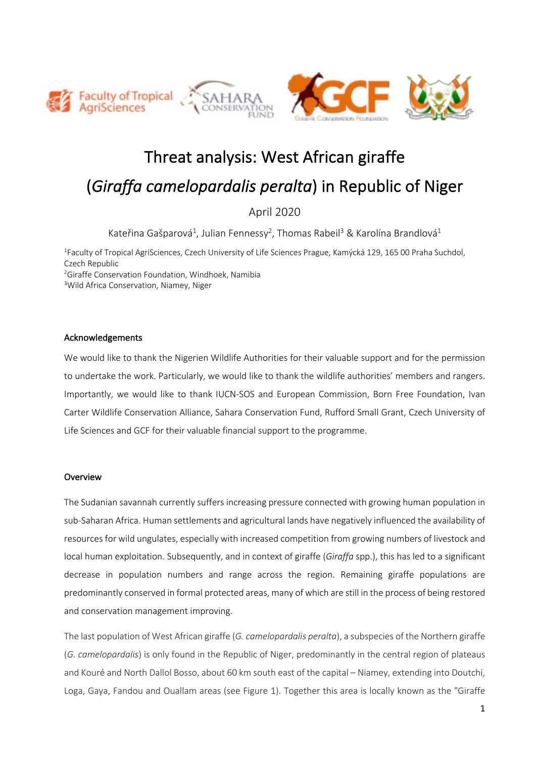





# Threat analysis: West African giraffe (*Giraffa camelopardalis peralta*) in Republic of Niger

April 2020

Kateřina Gašparová<sup>1</sup>, Julian Fennessy<sup>2</sup>, Thomas Rabeil<sup>3</sup> & Karolína Brandlová<sup>1</sup>

<sup>1</sup>Faculty of Tropical AgriSciences, Czech University of Life Sciences Prague, Kamýcká 129, 165 00 Praha Suchdol, Czech Republic <sup>2</sup>Giraffe Conservation Foundation, Windhoek, Namibia

<sup>3</sup>Wild Africa Conservation, Niamey, Niger

#### Acknowledgements

We would like to thank the Nigerien Wildlife Authorities for their valuable support and for the permission to undertake the work. Particularly, we would like to thank the wildlife authorities' members and rangers. Importantly, we would like to thank IUCN-SOS and European Commission, Born Free Foundation, Ivan Carter Wildlife Conservation Alliance, Sahara Conservation Fund, Rufford Small Grant, Czech University of Life Sciences and GCF for their valuable financial support to the programme.

### Overview

The Sudanian savannah currently suffers increasing pressure connected with growing human population in sub-Saharan Africa. Human settlements and agricultural lands have negatively influenced the availability of resources for wild ungulates, especially with increased competition from growing numbers of livestock and local human exploitation. Subsequently, and in context of giraffe (*Giraffa* spp.), this has led to a significant decrease in population numbers and range across the region. Remaining giraffe populations are predominantly conserved in formal protected areas, many of which are still in the process of being restored and conservation management improving.

The last population of West African giraffe (*G. camelopardalis peralta*), a subspecies of the Northern giraffe (*G. camelopardalis*) is only found in the Republic of Niger, predominantly in the central region of plateaus and Kouré and North Dallol Bosso, about 60 km south east of the capital – Niamey, extending into Doutchi, Loga, Gaya, Fandou and Ouallam areas (see Figure 1). Together this area is locally known as the "Giraffe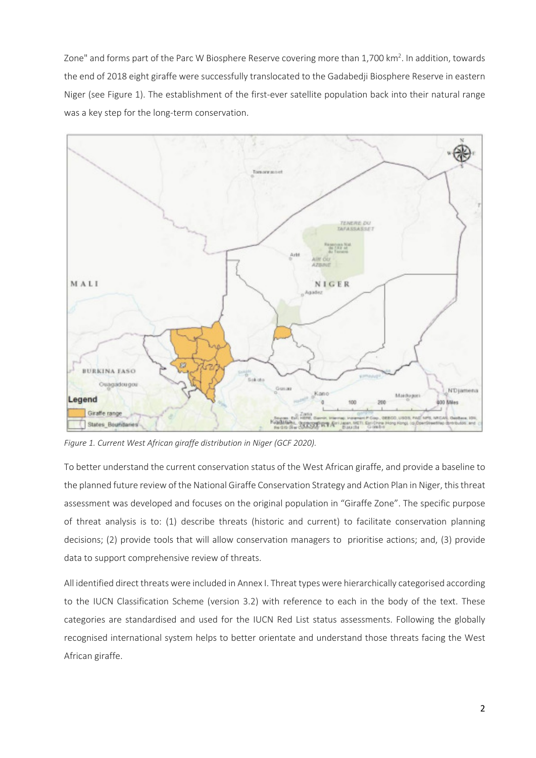Zone" and forms part of the Parc W Biosphere Reserve covering more than 1,700 km<sup>2</sup>. In addition, towards the end of 2018 eight giraffe were successfully translocated to the Gadabedji Biosphere Reserve in eastern Niger (see Figure 1). The establishment of the first-ever satellite population back into their natural range was a key step for the long-term conservation.



*Figure 1. Current West African giraffe distribution in Niger (GCF 2020).* 

To better understand the current conservation status of the West African giraffe, and provide a baseline to the planned future review of the National Giraffe Conservation Strategy and Action Plan in Niger, this threat assessment was developed and focuses on the original population in "Giraffe Zone". The specific purpose of threat analysis is to: (1) describe threats (historic and current) to facilitate conservation planning decisions; (2) provide tools that will allow conservation managers to prioritise actions; and, (3) provide data to support comprehensive review of threats.

All identified direct threats were included in Annex I. Threat types were hierarchically categorised according to the IUCN Classification Scheme (version 3.2) with reference to each in the body of the text. These categories are standardised and used for the IUCN Red List status assessments. Following the globally recognised international system helps to better orientate and understand those threats facing the West African giraffe.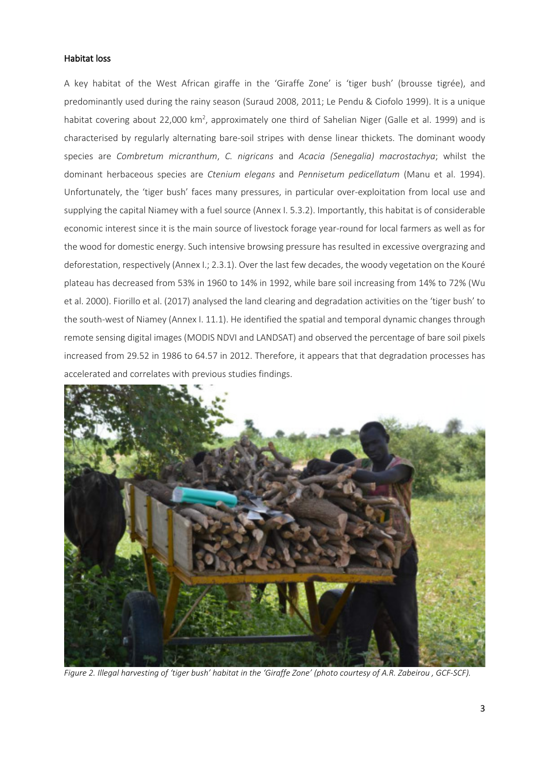#### Habitat loss

A key habitat of the West African giraffe in the 'Giraffe Zone' is 'tiger bush' (brousse tigrée), and predominantly used during the rainy season (Suraud 2008, 2011; Le Pendu & Ciofolo 1999). It is a unique habitat covering about 22,000 km<sup>2</sup>, approximately one third of Sahelian Niger (Galle et al. 1999) and is characterised by regularly alternating bare-soil stripes with dense linear thickets. The dominant woody species are *Combretum micranthum*, *C. nigricans* and *Acacia (Senegalia) macrostachya*; whilst the dominant herbaceous species are *Ctenium elegans* and *Pennisetum pedicellatum* (Manu et al. 1994). Unfortunately, the 'tiger bush' faces many pressures, in particular over-exploitation from local use and supplying the capital Niamey with a fuel source (Annex I. 5.3.2). Importantly, this habitat is of considerable economic interest since it is the main source of livestock forage year-round for local farmers as well as for the wood for domestic energy. Such intensive browsing pressure has resulted in excessive overgrazing and deforestation, respectively (Annex I.; 2.3.1). Over the last few decades, the woody vegetation on the Kouré plateau has decreased from 53% in 1960 to 14% in 1992, while bare soil increasing from 14% to 72% (Wu et al. 2000). Fiorillo et al. (2017) analysed the land clearing and degradation activities on the 'tiger bush' to the south-west of Niamey (Annex I. 11.1). He identified the spatial and temporal dynamic changes through remote sensing digital images (MODIS NDVI and LANDSAT) and observed the percentage of bare soil pixels increased from 29.52 in 1986 to 64.57 in 2012. Therefore, it appears that that degradation processes has accelerated and correlates with previous studies findings.



*Figure 2. Illegal harvesting of 'tiger bush' habitat in the 'Giraffe Zone' (photo courtesy of A.R. Zabeirou , GCF-SCF).*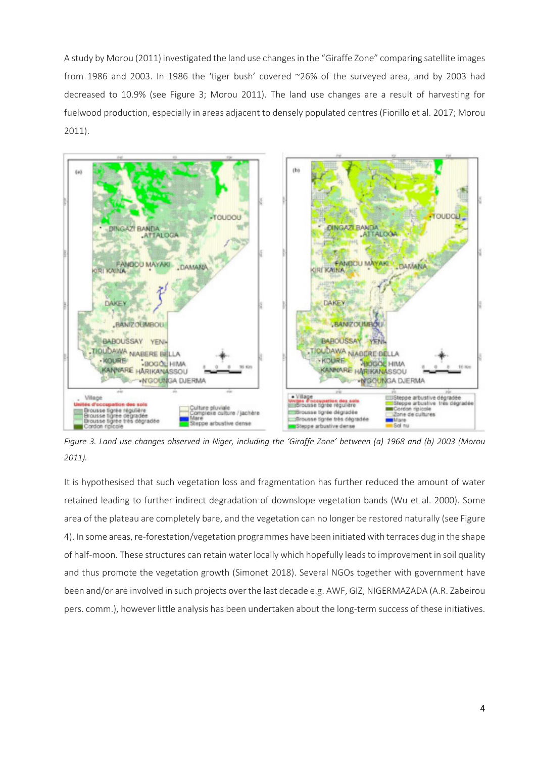A study by Morou (2011) investigated the land use changesin the "Giraffe Zone" comparing satellite images from 1986 and 2003. In 1986 the 'tiger bush' covered ~26% of the surveyed area, and by 2003 had decreased to 10.9% (see Figure 3; Morou 2011). The land use changes are a result of harvesting for fuelwood production, especially in areas adjacent to densely populated centres (Fiorillo et al. 2017; Morou 2011).



*Figure 3. Land use changes observed in Niger, including the 'Giraffe Zone' between (a) 1968 and (b) 2003 (Morou 2011).*

It is hypothesised that such vegetation loss and fragmentation has further reduced the amount of water retained leading to further indirect degradation of downslope vegetation bands (Wu et al. 2000). Some area of the plateau are completely bare, and the vegetation can no longer be restored naturally (see Figure 4). In some areas, re-forestation/vegetation programmes have been initiated with terraces dug in the shape of half-moon. These structures can retain water locally which hopefully leads to improvement in soil quality and thus promote the vegetation growth (Simonet 2018). Several NGOs together with government have been and/or are involved in such projects over the last decade e.g. AWF, GIZ, NIGERMAZADA (A.R. Zabeirou pers. comm.), however little analysis has been undertaken about the long-term success of these initiatives.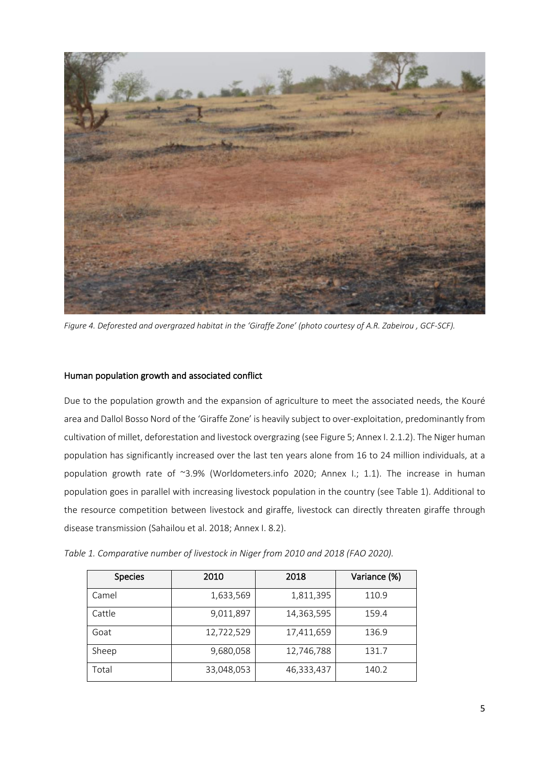

*Figure 4. Deforested and overgrazed habitat in the 'Giraffe Zone' (photo courtesy of A.R. Zabeirou , GCF-SCF).*

#### Human population growth and associated conflict

Due to the population growth and the expansion of agriculture to meet the associated needs, the Kouré area and Dallol Bosso Nord of the 'Giraffe Zone' is heavily subject to over-exploitation, predominantly from cultivation of millet, deforestation and livestock overgrazing (see Figure 5; Annex I. 2.1.2). The Niger human population has significantly increased over the last ten years alone from 16 to 24 million individuals, at a population growth rate of ~3.9% (Worldometers.info 2020; Annex I.; 1.1). The increase in human population goes in parallel with increasing livestock population in the country (see Table 1). Additional to the resource competition between livestock and giraffe, livestock can directly threaten giraffe through disease transmission (Sahailou et al. 2018; Annex I. 8.2).

| <b>Species</b> | 2010       | 2018       | Variance (%) |
|----------------|------------|------------|--------------|
| Camel          | 1,633,569  | 1,811,395  | 110.9        |
| Cattle         | 9,011,897  | 14,363,595 | 159.4        |
| Goat           | 12,722,529 | 17,411,659 | 136.9        |
| Sheep          | 9,680,058  | 12,746,788 | 131.7        |
| Total          | 33,048,053 | 46,333,437 | 140.2        |

*Table 1. Comparative number of livestock in Niger from 2010 and 2018 (FAO 2020).*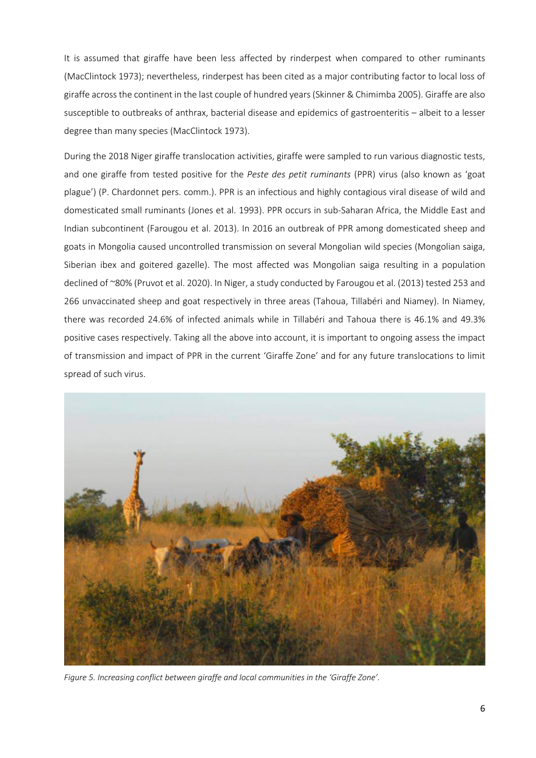It is assumed that giraffe have been less affected by rinderpest when compared to other ruminants (MacClintock 1973); nevertheless, rinderpest has been cited as a major contributing factor to local loss of giraffe across the continent in the last couple of hundred years (Skinner & Chimimba 2005). Giraffe are also susceptible to outbreaks of anthrax, bacterial disease and epidemics of gastroenteritis – albeit to a lesser degree than many species (MacClintock 1973).

During the 2018 Niger giraffe translocation activities, giraffe were sampled to run various diagnostic tests, and one giraffe from tested positive for the *Peste des petit ruminants* (PPR) virus (also known as 'goat plague') (P. Chardonnet pers. comm.). PPR is an infectious and highly contagious viral disease of wild and domesticated small ruminants (Jones et al. 1993). PPR occurs in sub-Saharan Africa, the Middle East and Indian subcontinent (Farougou et al. 2013). In 2016 an outbreak of PPR among domesticated sheep and goats in Mongolia caused uncontrolled transmission on several Mongolian wild species (Mongolian saiga, Siberian ibex and goitered gazelle). The most affected was Mongolian saiga resulting in a population declined of ~80% (Pruvot et al. 2020). In Niger, a study conducted by Farougou et al. (2013) tested 253 and 266 unvaccinated sheep and goat respectively in three areas (Tahoua, Tillabéri and Niamey). In Niamey, there was recorded 24.6% of infected animals while in Tillabéri and Tahoua there is 46.1% and 49.3% positive cases respectively. Taking all the above into account, it is important to ongoing assess the impact of transmission and impact of PPR in the current 'Giraffe Zone' and for any future translocations to limit spread of such virus.



*Figure 5. Increasing conflict between giraffe and local communities in the 'Giraffe Zone'.*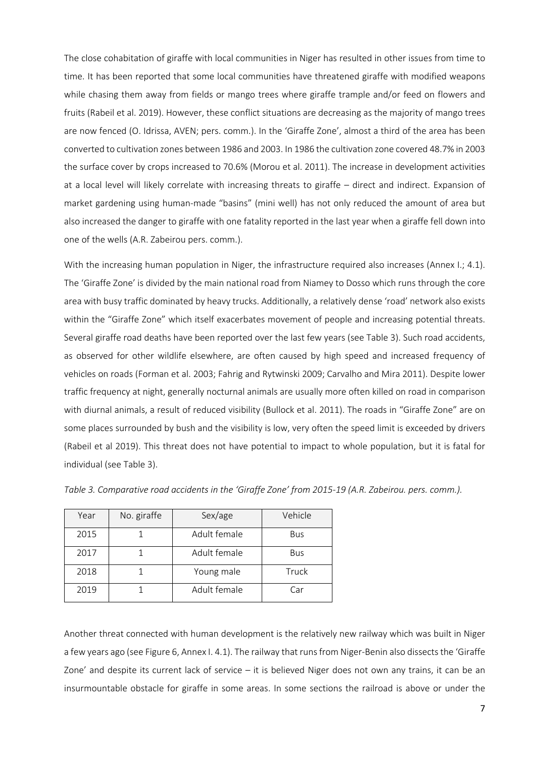The close cohabitation of giraffe with local communities in Niger has resulted in other issues from time to time. It has been reported that some local communities have threatened giraffe with modified weapons while chasing them away from fields or mango trees where giraffe trample and/or feed on flowers and fruits (Rabeil et al. 2019). However, these conflict situations are decreasing as the majority of mango trees are now fenced (O. Idrissa, AVEN; pers. comm.). In the 'Giraffe Zone', almost a third of the area has been converted to cultivation zones between 1986 and 2003. In 1986 the cultivation zone covered 48.7% in 2003 the surface cover by crops increased to 70.6% (Morou et al. 2011). The increase in development activities at a local level will likely correlate with increasing threats to giraffe – direct and indirect. Expansion of market gardening using human-made "basins" (mini well) has not only reduced the amount of area but also increased the danger to giraffe with one fatality reported in the last year when a giraffe fell down into one of the wells (A.R. Zabeirou pers. comm.).

With the increasing human population in Niger, the infrastructure required also increases (Annex I.; 4.1). The 'Giraffe Zone' is divided by the main national road from Niamey to Dosso which runs through the core area with busy traffic dominated by heavy trucks. Additionally, a relatively dense 'road' network also exists within the "Giraffe Zone" which itself exacerbates movement of people and increasing potential threats. Several giraffe road deaths have been reported over the last few years (see Table 3). Such road accidents, as observed for other wildlife elsewhere, are often caused by high speed and increased frequency of vehicles on roads (Forman et al. 2003; Fahrig and Rytwinski 2009; Carvalho and Mira 2011). Despite lower traffic frequency at night, generally nocturnal animals are usually more often killed on road in comparison with diurnal animals, a result of reduced visibility (Bullock et al. 2011). The roads in "Giraffe Zone" are on some places surrounded by bush and the visibility is low, very often the speed limit is exceeded by drivers (Rabeil et al 2019). This threat does not have potential to impact to whole population, but it is fatal for individual (see Table 3).

| Year | No. giraffe | Sex/age      | Vehicle    |  |
|------|-------------|--------------|------------|--|
| 2015 |             | Adult female | <b>Bus</b> |  |
| 2017 |             | Adult female | <b>Bus</b> |  |
| 2018 |             | Young male   | Truck      |  |
| 2019 |             | Adult female | Car        |  |

*Table 3. Comparative road accidents in the 'Giraffe Zone' from 2015-19 (A.R. Zabeirou. pers. comm.).* 

Another threat connected with human development is the relatively new railway which was built in Niger a few years ago (see Figure 6, Annex I. 4.1). The railway that runs from Niger-Benin also dissects the 'Giraffe Zone' and despite its current lack of service – it is believed Niger does not own any trains, it can be an insurmountable obstacle for giraffe in some areas. In some sections the railroad is above or under the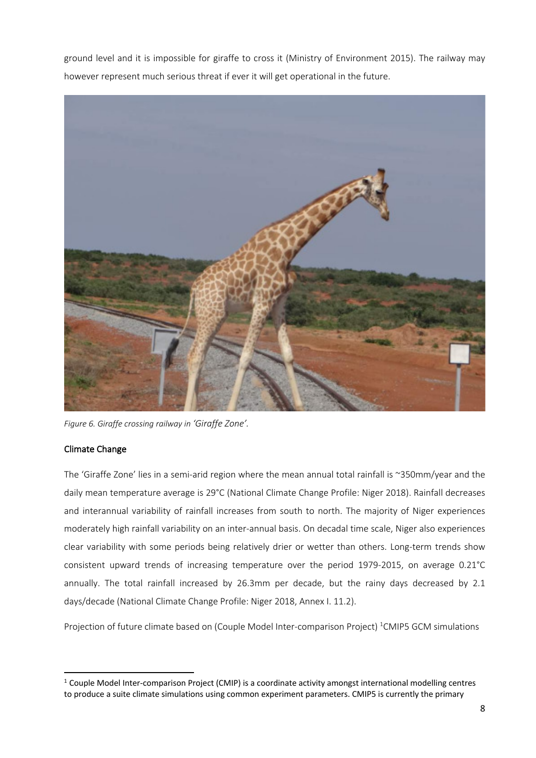ground level and it is impossible for giraffe to cross it (Ministry of Environment 2015). The railway may however represent much serious threat if ever it will get operational in the future.



*Figure 6. Giraffe crossing railway in 'Giraffe Zone'.*

### Climate Change

The 'Giraffe Zone' lies in a semi-arid region where the mean annual total rainfall is ~350mm/year and the daily mean temperature average is 29°C (National Climate Change Profile: Niger 2018). Rainfall decreases and interannual variability of rainfall increases from south to north. The majority of Niger experiences moderately high rainfall variability on an inter-annual basis. On decadal time scale, Niger also experiences clear variability with some periods being relatively drier or wetter than others. Long-term trends show consistent upward trends of increasing temperature over the period 1979-2015, on average 0.21°C annually. The total rainfall increased by 26.3mm per decade, but the rainy days decreased by 2.1 days/decade (National Climate Change Profile: Niger 2018, Annex I. 11.2).

Projection of future climate based on (Couple Model Inter-comparison Project) <sup>1</sup>CMIP5 GCM simulations

 $1$  Couple Model Inter-comparison Project (CMIP) is a coordinate activity amongst international modelling centres to produce a suite climate simulations using common experiment parameters. CMIP5 is currently the primary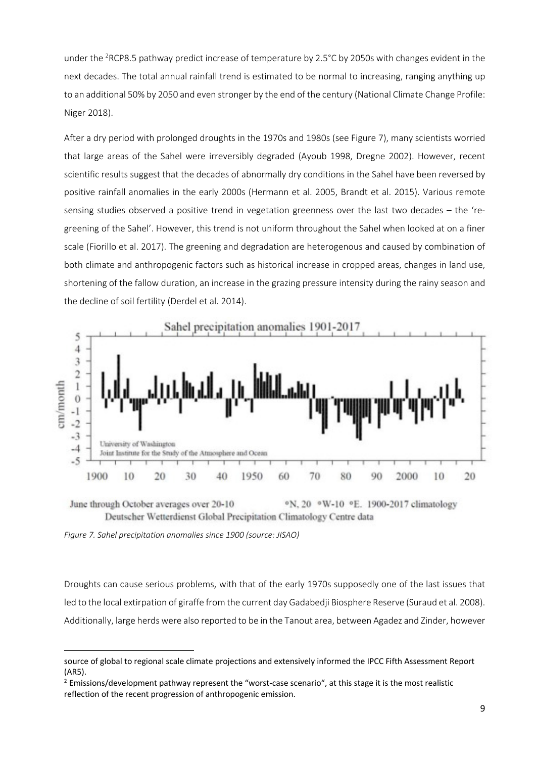under the <sup>2</sup>RCP8.5 pathway predict increase of temperature by 2.5°C by 2050s with changes evident in the next decades. The total annual rainfall trend is estimated to be normal to increasing, ranging anything up to an additional 50% by 2050 and even stronger by the end of the century (National Climate Change Profile: Niger 2018).

After a dry period with prolonged droughts in the 1970s and 1980s (see Figure 7), many scientists worried that large areas of the Sahel were irreversibly degraded (Ayoub 1998, Dregne 2002). However, recent scientific results suggest that the decades of abnormally dry conditions in the Sahel have been reversed by positive rainfall anomalies in the early 2000s (Hermann et al. 2005, Brandt et al. 2015). Various remote sensing studies observed a positive trend in vegetation greenness over the last two decades – the 'regreening of the Sahel'. However, this trend is not uniform throughout the Sahel when looked at on a finer scale (Fiorillo et al. 2017). The greening and degradation are heterogenous and caused by combination of both climate and anthropogenic factors such as historical increase in cropped areas, changes in land use, shortening of the fallow duration, an increase in the grazing pressure intensity during the rainy season and the decline of soil fertility (Derdel et al. 2014).



June through October averages over 20-10 °N, 20 °W-10 °E. 1900-2017 climatology Deutscher Wetterdienst Global Precipitation Climatology Centre data

*Figure 7. Sahel precipitation anomalies since 1900 (source: JISAO)*

Droughts can cause serious problems, with that of the early 1970s supposedly one of the last issues that led to the local extirpation of giraffe from the current day Gadabedji Biosphere Reserve (Suraud et al. 2008). Additionally, large herds were also reported to be in the Tanout area, between Agadez and Zinder, however

source of global to regional scale climate projections and extensively informed the IPCC Fifth Assessment Report (AR5).

 $<sup>2</sup>$  Emissions/development pathway represent the "worst-case scenario", at this stage it is the most realistic</sup> reflection of the recent progression of anthropogenic emission.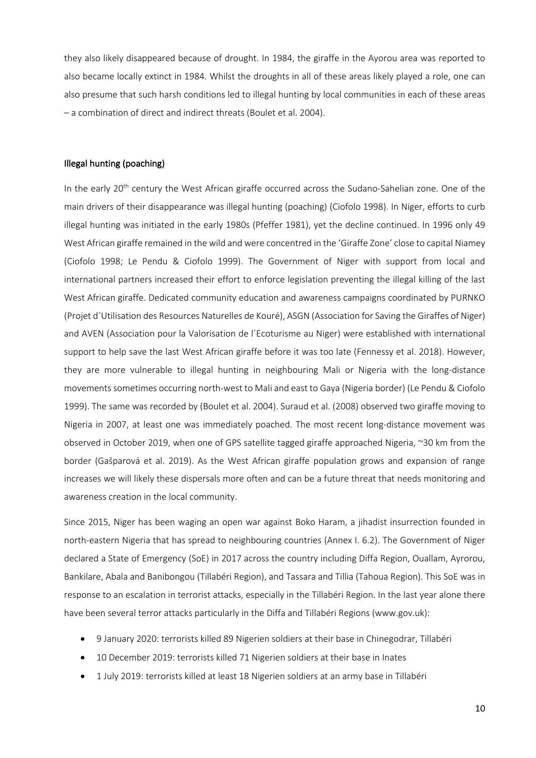they also likely disappeared because of drought. In 1984, the giraffe in the Ayorou area was reported to also became locally extinct in 1984. Whilst the droughts in all of these areas likely played a role, one can also presume that such harsh conditions led to illegal hunting by local communities in each of these areas – a combination of direct and indirect threats (Boulet et al. 2004).

#### Illegal hunting (poaching)

In the early 20<sup>th</sup> century the West African giraffe occurred across the Sudano-Sahelian zone. One of the main drivers of their disappearance was illegal hunting (poaching) (Ciofolo 1998). In Niger, efforts to curb illegal hunting was initiated in the early 1980s (Pfeffer 1981), yet the decline continued. In 1996 only 49 West African giraffe remained in the wild and were concentred in the 'Giraffe Zone' close to capital Niamey (Ciofolo 1998; Le Pendu & Ciofolo 1999). The Government of Niger with support from local and international partners increased their effort to enforce legislation preventing the illegal killing of the last West African giraffe. Dedicated community education and awareness campaigns coordinated by PURNKO (Projet d´Utilisation des Resources Naturelles de Kouré), ASGN (Association for Saving the Giraffes of Niger) and AVEN (Association pour la Valorisation de l´Ecoturisme au Niger) were established with international support to help save the last West African giraffe before it was too late (Fennessy et al. 2018). However, they are more vulnerable to illegal hunting in neighbouring Mali or Nigeria with the long-distance movements sometimes occurring north-west to Mali and east to Gaya (Nigeria border) (Le Pendu & Ciofolo 1999). The same was recorded by (Boulet et al. 2004). Suraud et al. (2008) observed two giraffe moving to Nigeria in 2007, at least one was immediately poached. The most recent long-distance movement was observed in October 2019, when one of GPS satellite tagged giraffe approached Nigeria, ~30 km from the border (Gašparová et al. 2019). As the West African giraffe population grows and expansion of range increases we will likely these dispersals more often and can be a future threat that needs monitoring and awareness creation in the local community.

Since 2015, Niger has been waging an open war against Boko Haram, a jihadist insurrection founded in north-eastern Nigeria that has spread to neighbouring countries (Annex I. 6.2). The Government of Niger declared a State of Emergency (SoE) in 2017 across the country including Diffa Region, Ouallam, Ayrorou, Bankilare, Abala and Banibongou (Tillabéri Region), and Tassara and Tillia (Tahoua Region). This SoE was in response to an escalation in terrorist attacks, especially in the Tillabéri Region. In the last year alone there have been several terror attacks particularly in the Diffa and Tillabéri Regions (www.gov.uk):

- 9 January 2020: terrorists killed 89 Nigerien soldiers at their base in Chinegodrar, Tillabéri
- 10 December 2019: terrorists killed 71 Nigerien soldiers at their base in Inates
- 1 July 2019: terrorists killed at least 18 Nigerien soldiers at an army base in Tillabéri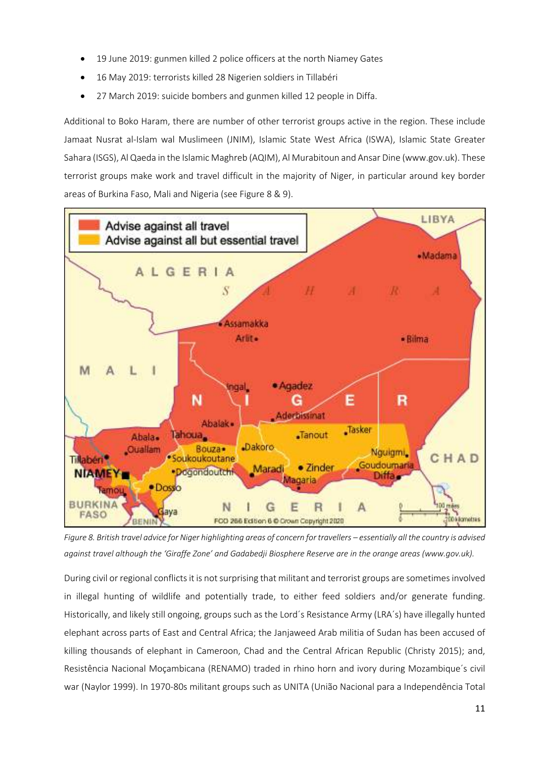- 19 June 2019: gunmen killed 2 police officers at the north Niamey Gates
- 16 May 2019: terrorists killed 28 Nigerien soldiers in Tillabéri
- 27 March 2019: suicide bombers and gunmen killed 12 people in Diffa.

Additional to Boko Haram, there are number of other terrorist groups active in the region. These include Jamaat Nusrat al-Islam wal Muslimeen (JNIM), Islamic State West Africa (ISWA), Islamic State Greater Sahara (ISGS), Al Qaeda in the Islamic Maghreb (AQIM), Al Murabitoun and Ansar Dine (www.gov.uk). These terrorist groups make work and travel difficult in the majority of Niger, in particular around key border areas of Burkina Faso, Mali and Nigeria (see Figure 8 & 9).



*Figure 8. British travel advice for Niger highlighting areas of concern for travellers – essentially all the country is advised*  against travel although the 'Giraffe Zone' and Gadabedji Biosphere Reserve are in the orange areas (www.gov.uk).

During civil or regional conflicts it is not surprising that militant and terrorist groups are sometimes involved in illegal hunting of wildlife and potentially trade, to either feed soldiers and/or generate funding. Historically, and likely still ongoing, groups such as the Lord´s Resistance Army (LRA´s) have illegally hunted elephant across parts of East and Central Africa; the Janjaweed Arab militia of Sudan has been accused of killing thousands of elephant in Cameroon, Chad and the Central African Republic (Christy 2015); and, Resistência Nacional Moçambicana (RENAMO) traded in rhino horn and ivory during Mozambique´s civil war (Naylor 1999). In 1970-80s militant groups such as UNITA (União Nacional para a Independência Total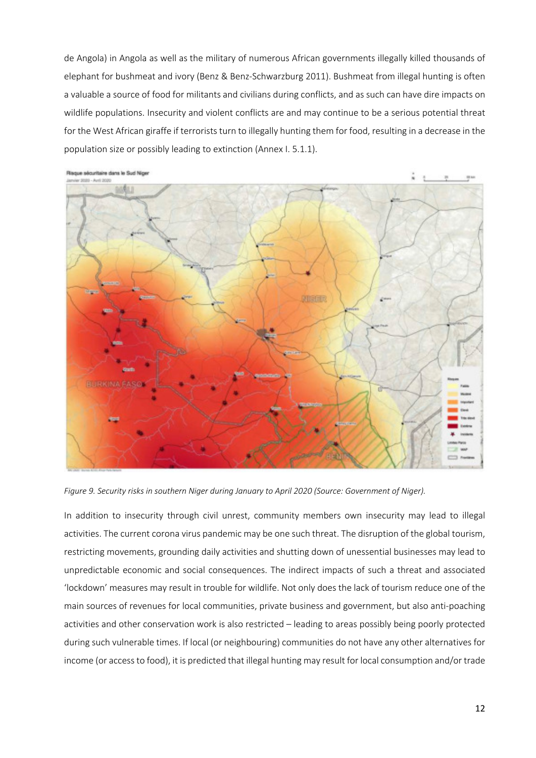de Angola) in Angola as well as the military of numerous African governments illegally killed thousands of elephant for bushmeat and ivory (Benz & Benz-Schwarzburg 2011). Bushmeat from illegal hunting is often a valuable a source of food for militants and civilians during conflicts, and as such can have dire impacts on wildlife populations. Insecurity and violent conflicts are and may continue to be a serious potential threat for the West African giraffe if terrorists turn to illegally hunting them for food, resulting in a decrease in the population size or possibly leading to extinction (Annex I. 5.1.1).



*Figure 9. Security risks in southern Niger during January to April 2020 (Source: Government of Niger).*

In addition to insecurity through civil unrest, community members own insecurity may lead to illegal activities. The current corona virus pandemic may be one such threat. The disruption of the global tourism, restricting movements, grounding daily activities and shutting down of unessential businesses may lead to unpredictable economic and social consequences. The indirect impacts of such a threat and associated 'lockdown' measures may result in trouble for wildlife. Not only does the lack of tourism reduce one of the main sources of revenues for local communities, private business and government, but also anti-poaching activities and other conservation work is also restricted – leading to areas possibly being poorly protected during such vulnerable times. If local (or neighbouring) communities do not have any other alternatives for income (or access to food), it is predicted that illegal hunting may result for local consumption and/or trade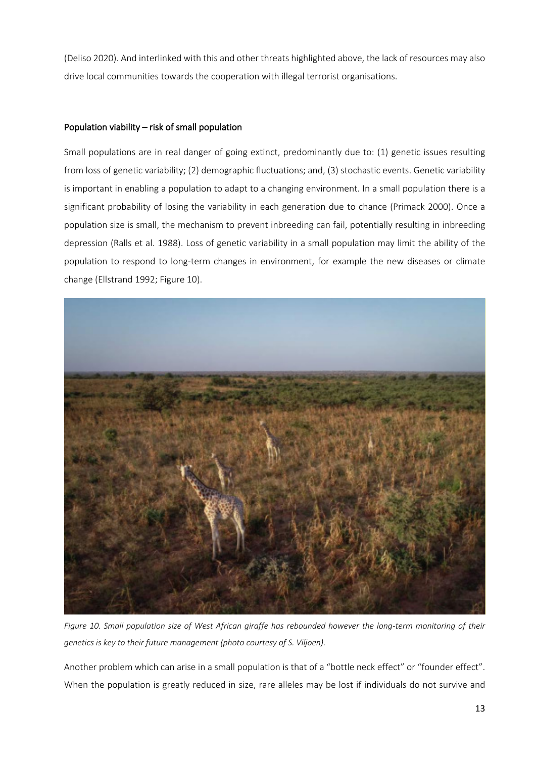(Deliso 2020). And interlinked with this and other threats highlighted above, the lack of resources may also drive local communities towards the cooperation with illegal terrorist organisations.

#### Population viability – risk of small population

Small populations are in real danger of going extinct, predominantly due to: (1) genetic issues resulting from loss of genetic variability; (2) demographic fluctuations; and, (3) stochastic events. Genetic variability is important in enabling a population to adapt to a changing environment. In a small population there is a significant probability of losing the variability in each generation due to chance (Primack 2000). Once a population size is small, the mechanism to prevent inbreeding can fail, potentially resulting in inbreeding depression (Ralls et al. 1988). Loss of genetic variability in a small population may limit the ability of the population to respond to long-term changes in environment, for example the new diseases or climate change (Ellstrand 1992; Figure 10).



*Figure 10. Small population size of West African giraffe has rebounded however the long-term monitoring of their genetics is key to their future management (photo courtesy of S. Viljoen).*

Another problem which can arise in a small population is that of a "bottle neck effect" or "founder effect". When the population is greatly reduced in size, rare alleles may be lost if individuals do not survive and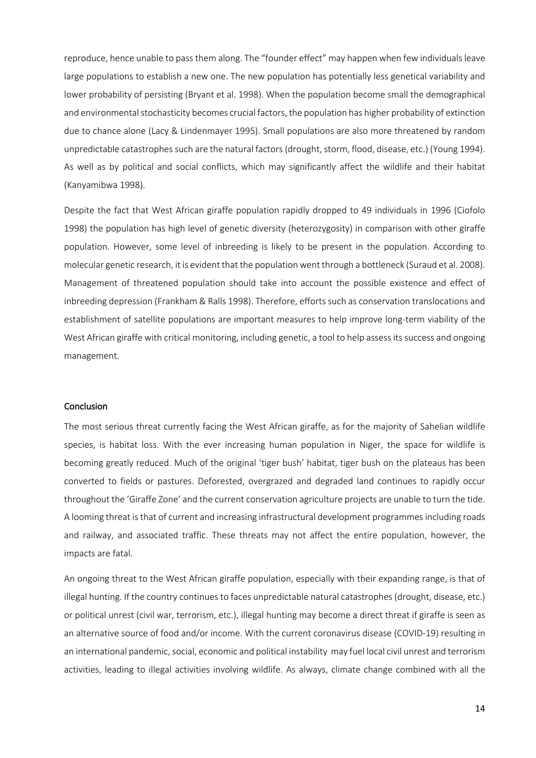reproduce, hence unable to pass them along. The "founder effect" may happen when few individuals leave large populations to establish a new one. The new population has potentially less genetical variability and lower probability of persisting (Bryant et al. 1998). When the population become small the demographical and environmental stochasticity becomes crucial factors, the population has higher probability of extinction due to chance alone (Lacy & Lindenmayer 1995). Small populations are also more threatened by random unpredictable catastrophes such are the natural factors (drought, storm, flood, disease, etc.) (Young 1994). As well as by political and social conflicts, which may significantly affect the wildlife and their habitat (Kanyamibwa 1998).

Despite the fact that West African giraffe population rapidly dropped to 49 individuals in 1996 (Ciofolo 1998) the population has high level of genetic diversity (heterozygosity) in comparison with other giraffe population. However, some level of inbreeding is likely to be present in the population. According to molecular genetic research, it is evident that the population went through a bottleneck (Suraud et al. 2008). Management of threatened population should take into account the possible existence and effect of inbreeding depression (Frankham & Ralls 1998). Therefore, efforts such as conservation translocations and establishment of satellite populations are important measures to help improve long-term viability of the West African giraffe with critical monitoring, including genetic, a tool to help assess its success and ongoing management.

#### **Conclusion**

The most serious threat currently facing the West African giraffe, as for the majority of Sahelian wildlife species, is habitat loss. With the ever increasing human population in Niger, the space for wildlife is becoming greatly reduced. Much of the original 'tiger bush' habitat, tiger bush on the plateaus has been converted to fields or pastures. Deforested, overgrazed and degraded land continues to rapidly occur throughout the 'Giraffe Zone' and the current conservation agriculture projects are unable to turn the tide. A looming threat is that of current and increasing infrastructural development programmes including roads and railway, and associated traffic. These threats may not affect the entire population, however, the impacts are fatal.

An ongoing threat to the West African giraffe population, especially with their expanding range, is that of illegal hunting. If the country continues to faces unpredictable natural catastrophes (drought, disease, etc.) or political unrest (civil war, terrorism, etc.), illegal hunting may become a direct threat if giraffe is seen as an alternative source of food and/or income. With the current coronavirus disease (COVID-19) resulting in an international pandemic, social, economic and political instability may fuel local civil unrest and terrorism activities, leading to illegal activities involving wildlife. As always, climate change combined with all the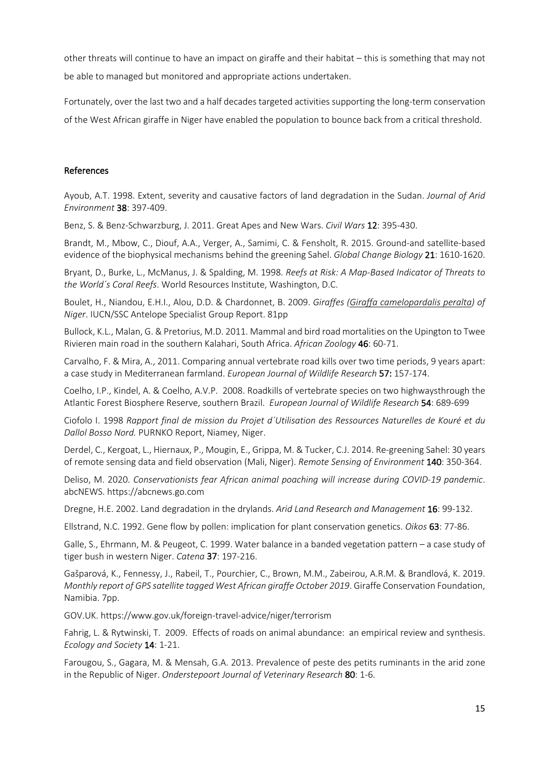other threats will continue to have an impact on giraffe and their habitat – this is something that may not be able to managed but monitored and appropriate actions undertaken.

Fortunately, over the last two and a half decades targeted activities supporting the long-term conservation of the West African giraffe in Niger have enabled the population to bounce back from a critical threshold.

#### References

Ayoub, A.T. 1998. Extent, severity and causative factors of land degradation in the Sudan. *Journal of Arid Environment* 38: 397-409.

Benz, S. & Benz-Schwarzburg, J. 2011. Great Apes and New Wars. *Civil Wars* 12: 395-430.

Brandt, M., Mbow, C., Diouf, A.A., Verger, A., Samimi, C. & Fensholt, R. 2015. Ground-and satellite-based evidence of the biophysical mechanisms behind the greening Sahel. *Global Change Biology* 21: 1610-1620.

Bryant, D., Burke, L., McManus, J. & Spalding, M. 1998. *Reefs at Risk: A Map-Based Indicator of Threats to the World´s Coral Reefs*. World Resources Institute, Washington, D.C.

Boulet, H., Niandou, E.H.I., Alou, D.D. & Chardonnet, B. 2009. *Giraffes (Giraffa camelopardalis peralta) of Niger*. IUCN/SSC Antelope Specialist Group Report. 81pp

Bullock, K.L., Malan, G. & Pretorius, M.D. 2011. Mammal and bird road mortalities on the Upington to Twee Rivieren main road in the southern Kalahari, South Africa. *African Zoology* 46: 60-71.

Carvalho, F. & Mira, A., 2011. Comparing annual vertebrate road kills over two time periods, 9 years apart: a case study in Mediterranean farmland. *European Journal of Wildlife Research* 57: 157-174.

Coelho, I.P., Kindel, A. & Coelho, A.V.P. 2008. Roadkills of vertebrate species on two highwaysthrough the Atlantic Forest Biosphere Reserve, southern Brazil. *European Journal of Wildlife Research* 54: 689-699

Ciofolo I. 1998 *Rapport final de mission du Projet d´Utilisation des Ressources Naturelles de Kouré et du Dallol Bosso Nord.* PURNKO Report, Niamey, Niger.

Derdel, C., Kergoat, L., Hiernaux, P., Mougin, E., Grippa, M. & Tucker, C.J. 2014. Re-greening Sahel: 30 years of remote sensing data and field observation (Mali, Niger). *Remote Sensing of Environment* 140: 350-364.

Deliso, M. 2020. *Conservationists fear African animal poaching will increase during COVID-19 pandemic*. abcNEWS. https://abcnews.go.com

Dregne, H.E. 2002. Land degradation in the drylands. *Arid Land Research and Management* 16: 99-132.

Ellstrand, N.C. 1992. Gene flow by pollen: implication for plant conservation genetics. *Oikos* 63: 77-86.

Galle, S., Ehrmann, M. & Peugeot, C. 1999. Water balance in a banded vegetation pattern – a case study of tiger bush in western Niger. *Catena* 37: 197-216.

Gašparová, K., Fennessy, J., Rabeil, T., Pourchier, C., Brown, M.M., Zabeirou, A.R.M. & Brandlová, K. 2019. *Monthly report of GPS satellite tagged West African giraffe October 2019*. Giraffe Conservation Foundation, Namibia. 7pp.

GOV.UK. https://www.gov.uk/foreign-travel-advice/niger/terrorism

Fahrig, L. & Rytwinski, T. 2009. Effects of roads on animal abundance: an empirical review and synthesis. *Ecology and Society* 14: 1-21.

Farougou, S., Gagara, M. & Mensah, G.A. 2013. Prevalence of peste des petits ruminants in the arid zone in the Republic of Niger. *Onderstepoort Journal of Veterinary Research* 80: 1-6.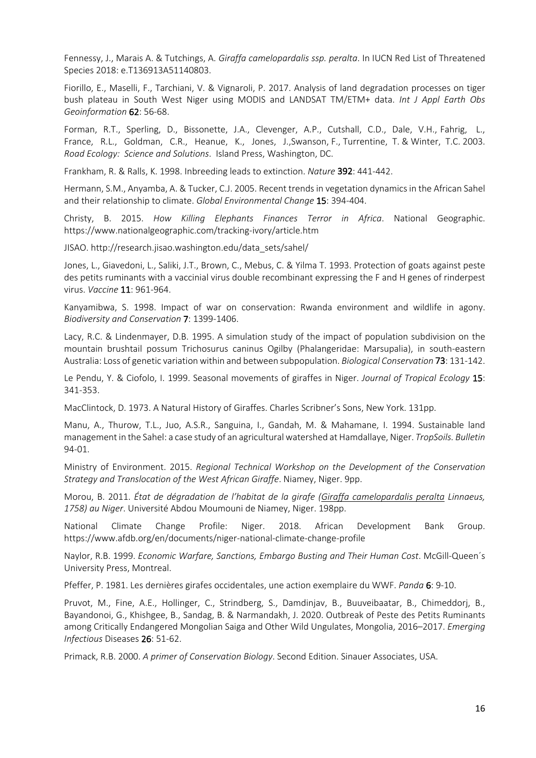Fennessy, J., Marais A. & Tutchings, A. *Giraffa camelopardalis ssp. peralta*. In IUCN Red List of Threatened Species 2018: e.T136913A51140803.

Fiorillo, E., Maselli, F., Tarchiani, V. & Vignaroli, P. 2017. Analysis of land degradation processes on tiger bush plateau in South West Niger using MODIS and LANDSAT TM/ETM+ data. *Int J Appl Earth Obs Geoinformation* 62: 56-68.

Forman, R.T., Sperling, D., Bissonette, J.A., Clevenger, A.P., Cutshall, C.D., Dale, V.H., Fahrig, L., France, R.L., Goldman, C.R., Heanue, K., Jones, J.,Swanson, F., Turrentine, T. & Winter, T.C. 2003. *Road Ecology: Science and Solutions*. Island Press, Washington, DC.

Frankham, R. & Ralls, K. 1998. Inbreeding leads to extinction. *Nature* 392: 441-442.

Hermann, S.M., Anyamba, A. & Tucker, C.J. 2005. Recent trends in vegetation dynamics in the African Sahel and their relationship to climate. *Global Environmental Change* 15: 394-404.

Christy, B. 2015. *How Killing Elephants Finances Terror in Africa*. National Geographic. https://www.nationalgeographic.com/tracking-ivory/article.htm

JISAO. http://research.jisao.washington.edu/data\_sets/sahel/

Jones, L., Giavedoni, L., Saliki, J.T., Brown, C., Mebus, C. & Yilma T. 1993. Protection of goats against peste des petits ruminants with a vaccinial virus double recombinant expressing the F and H genes of rinderpest virus. *Vaccine* 11: 961-964.

Kanyamibwa, S. 1998. Impact of war on conservation: Rwanda environment and wildlife in agony. *Biodiversity and Conservation* 7: 1399-1406.

Lacy, R.C. & Lindenmayer, D.B. 1995. A simulation study of the impact of population subdivision on the mountain brushtail possum Trichosurus caninus Ogilby (Phalangeridae: Marsupalia), in south-eastern Australia: Loss of genetic variation within and between subpopulation. *Biological Conservation* 73: 131-142.

Le Pendu, Y. & Ciofolo, I. 1999. Seasonal movements of giraffes in Niger. *Journal of Tropical Ecology* 15: 341-353.

MacClintock, D. 1973. A Natural History of Giraffes. Charles Scribner's Sons, New York. 131pp.

Manu, A., Thurow, T.L., Juo, A.S.R., Sanguina, I., Gandah, M. & Mahamane, I. 1994. Sustainable land management in the Sahel: a case study of an agricultural watershed at Hamdallaye, Niger. *TropSoils. Bulletin* 94-01.

Ministry of Environment. 2015. *Regional Technical Workshop on the Development of the Conservation Strategy and Translocation of the West African Giraffe*. Niamey, Niger. 9pp.

Morou, B. 2011. *État de dégradation de l'habitat de la girafe (Giraffa camelopardalis peralta Linnaeus, 1758) au Niger*. Université Abdou Moumouni de Niamey, Niger. 198pp.

National Climate Change Profile: Niger. 2018. African Development Bank Group. https://www.afdb.org/en/documents/niger-national-climate-change-profile

Naylor, R.B. 1999. *Economic Warfare, Sanctions, Embargo Busting and Their Human Cost*. McGill-Queen´s University Press, Montreal.

Pfeffer, P. 1981. Les dernières girafes occidentales, une action exemplaire du WWF. *Panda* 6: 9-10.

Pruvot, M., Fine, A.E., Hollinger, C., Strindberg, S., Damdinjav, B., Buuveibaatar, B., Chimeddorj, B., Bayandonoi, G., Khishgee, B., Sandag, B. & Narmandakh, J. 2020. Outbreak of Peste des Petits Ruminants among Critically Endangered Mongolian Saiga and Other Wild Ungulates, Mongolia, 2016–2017. *Emerging Infectious* Diseases 26: 51-62.

Primack, R.B. 2000. *A primer of Conservation Biology*. Second Edition. Sinauer Associates, USA.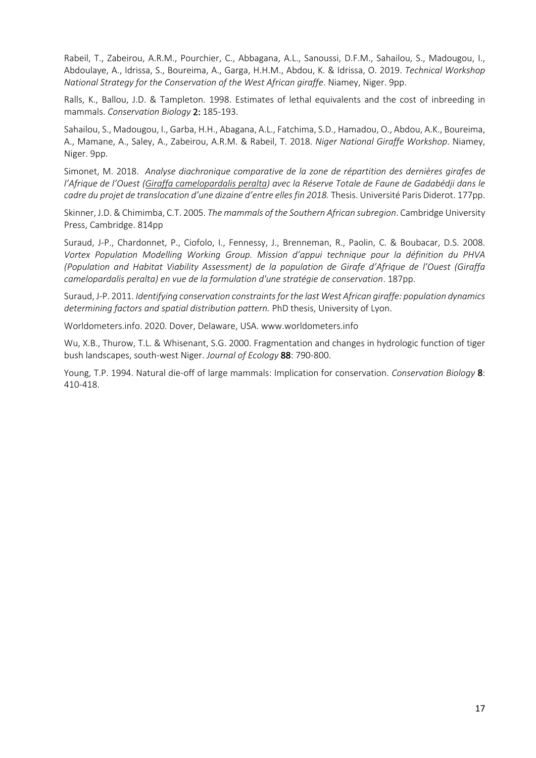Rabeil, T., Zabeirou, A.R.M., Pourchier, C., Abbagana, A.L., Sanoussi, D.F.M., Sahailou, S., Madougou, I., Abdoulaye, A., Idrissa, S., Boureima, A., Garga, H.H.M., Abdou, K. & Idrissa, O. 2019. *Technical Workshop National Strategy for the Conservation of the West African giraffe*. Niamey, Niger. 9pp.

Ralls, K., Ballou, J.D. & Tampleton. 1998. Estimates of lethal equivalents and the cost of inbreeding in mammals. *Conservation Biology* 2: 185-193.

Sahailou, S., Madougou, I., Garba, H.H., Abagana, A.L., Fatchima, S.D., Hamadou, O., Abdou, A.K., Boureima, A., Mamane, A., Saley, A., Zabeirou, A.R.M. & Rabeil, T. 2018. *Niger National Giraffe Workshop*. Niamey, Niger. 9pp.

Simonet, M. 2018. *Analyse diachronique comparative de la zone de répartition des dernières girafes de l'Afrique de l'Ouest (Giraffa camelopardalis peralta) avec la Réserve Totale de Faune de Gadabédji dans le cadre du projet de translocation d'une dizaine d'entre elles fin 2018.* Thesis. Université Paris Diderot. 177pp.

Skinner, J.D. & Chimimba, C.T. 2005. *The mammals of the Southern African subregion*. Cambridge University Press, Cambridge. 814pp

Suraud, J-P., Chardonnet, P., Ciofolo, I., Fennessy, J., Brenneman, R., Paolin, C. & Boubacar, D.S. 2008. *Vortex Population Modelling Working Group. Mission d'appui technique pour la définition du PHVA (Population and Habitat Viability Assessment) de la population de Girafe d'Afrique de l'Ouest (Giraffa camelopardalis peralta) en vue de la formulation d'une stratégie de conservation*. 187pp.

Suraud, J-P. 2011. *Identifying conservation constraints for the last West African giraffe: population dynamics determining factors and spatial distribution pattern.* PhD thesis, University of Lyon.

Worldometers.info. 2020. Dover, Delaware, USA. www.worldometers.info

Wu, X.B., Thurow, T.L. & Whisenant, S.G. 2000. Fragmentation and changes in hydrologic function of tiger bush landscapes, south-west Niger. *Journal of Ecology* 88: 790-800.

Young, T.P. 1994. Natural die-off of large mammals: Implication for conservation. *Conservation Biology* 8: 410-418.